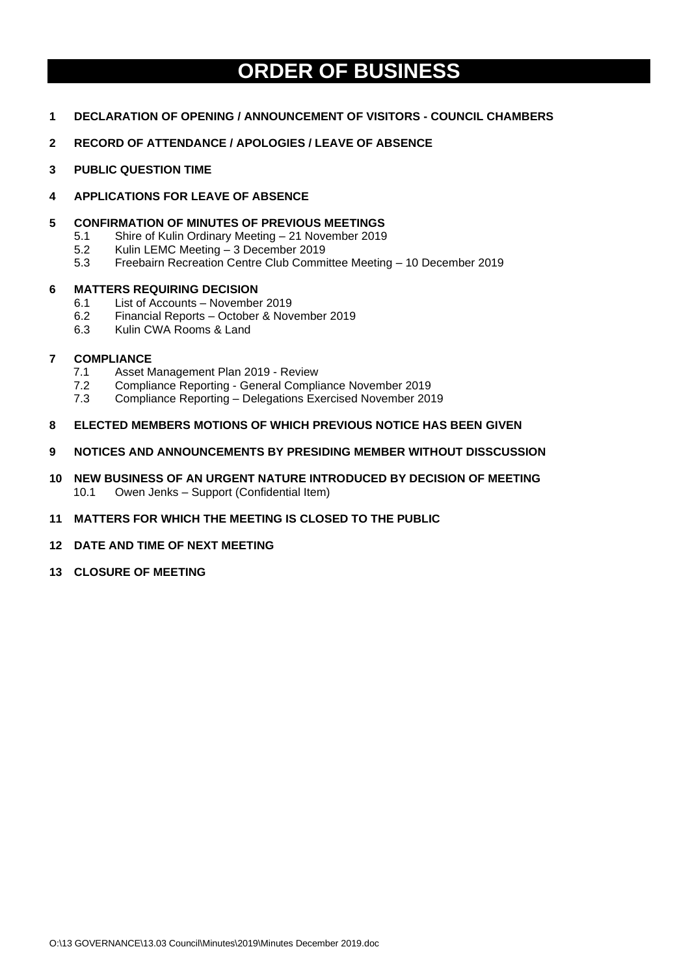# **ORDER OF BUSINESS**

- **1 DECLARATION OF OPENING / ANNOUNCEMENT OF VISITORS - COUNCIL CHAMBERS**
- **2 RECORD OF ATTENDANCE / APOLOGIES / LEAVE OF ABSENCE**
- **3 PUBLIC QUESTION TIME**
- **4 APPLICATIONS FOR LEAVE OF ABSENCE**
- **5 CONFIRMATION OF MINUTES OF PREVIOUS MEETINGS** 
	- 5.1 Shire of Kulin Ordinary Meeting 21 November 2019
	- 5.2 Kulin LEMC Meeting 3 December 2019
	- 5.3 Freebairn Recreation Centre Club Committee Meeting 10 December 2019

#### **6 MATTERS REQUIRING DECISION**

- 6.1 List of Accounts November 2019
- 6.2 Financial Reports October & November 2019
- 6.3 Kulin CWA Rooms & Land

#### **7 COMPLIANCE**

- 7.1 Asset Management Plan 2019 Review
- 7.2 Compliance Reporting General Compliance November 2019
- 7.3 Compliance Reporting Delegations Exercised November 2019
- **8 ELECTED MEMBERS MOTIONS OF WHICH PREVIOUS NOTICE HAS BEEN GIVEN**
- **9 NOTICES AND ANNOUNCEMENTS BY PRESIDING MEMBER WITHOUT DISSCUSSION**
- **10 NEW BUSINESS OF AN URGENT NATURE INTRODUCED BY DECISION OF MEETING** 10.1 Owen Jenks – Support (Confidential Item)
- **11 MATTERS FOR WHICH THE MEETING IS CLOSED TO THE PUBLIC**
- **12 DATE AND TIME OF NEXT MEETING**
- **13 CLOSURE OF MEETING**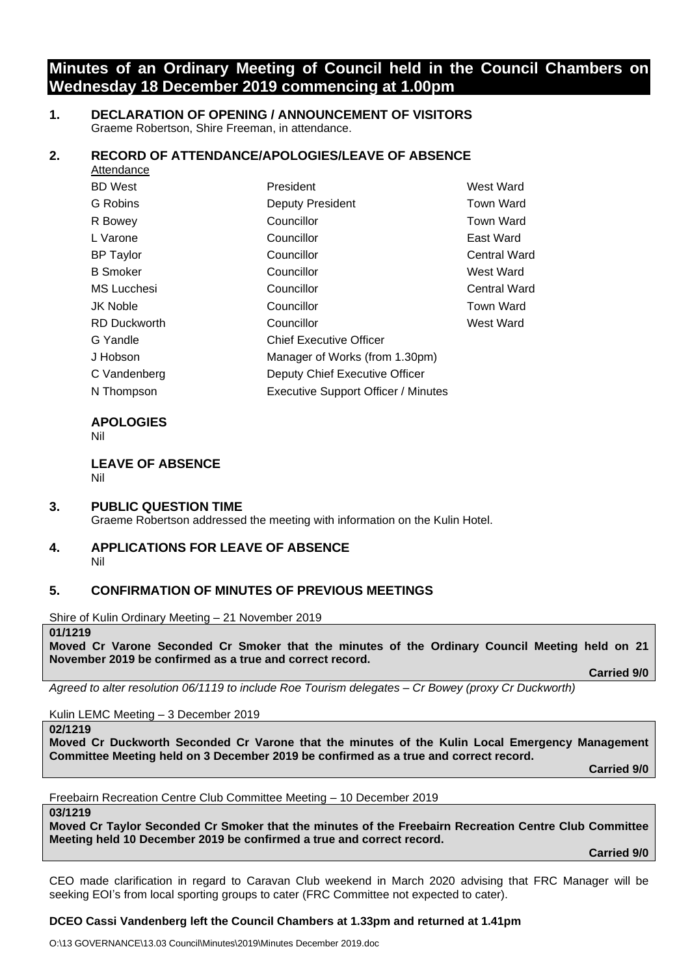# **Minutes of an Ordinary Meeting of Council held in the Council Chambers on Wednesday 18 December 2019 commencing at 1.00pm**

### **1. DECLARATION OF OPENING / ANNOUNCEMENT OF VISITORS** Graeme Robertson, Shire Freeman, in attendance.

## **2. RECORD OF ATTENDANCE/APOLOGIES/LEAVE OF ABSENCE**

| Attendance          |                                            |                     |
|---------------------|--------------------------------------------|---------------------|
| <b>BD</b> West      | President                                  | West Ward           |
| G Robins            | Deputy President                           | <b>Town Ward</b>    |
| R Bowey             | Councillor                                 | <b>Town Ward</b>    |
| L Varone            | Councillor                                 | East Ward           |
| <b>BP</b> Taylor    | Councillor                                 | <b>Central Ward</b> |
| <b>B</b> Smoker     | Councillor                                 | West Ward           |
| MS Lucchesi         | Councillor                                 | <b>Central Ward</b> |
| <b>JK Noble</b>     | Councillor                                 | <b>Town Ward</b>    |
| <b>RD Duckworth</b> | Councillor                                 | West Ward           |
| G Yandle            | <b>Chief Executive Officer</b>             |                     |
| J Hobson            | Manager of Works (from 1.30pm)             |                     |
| C Vandenberg        | Deputy Chief Executive Officer             |                     |
| N Thompson          | <b>Executive Support Officer / Minutes</b> |                     |

# **APOLOGIES**

Nil

**LEAVE OF ABSENCE**  Nil

### **3. PUBLIC QUESTION TIME**

Graeme Robertson addressed the meeting with information on the Kulin Hotel.

#### **4. APPLICATIONS FOR LEAVE OF ABSENCE** Nil

# **5. CONFIRMATION OF MINUTES OF PREVIOUS MEETINGS**

Shire of Kulin Ordinary Meeting – 21 November 2019

#### **01/1219**

**Moved Cr Varone Seconded Cr Smoker that the minutes of the Ordinary Council Meeting held on 21 November 2019 be confirmed as a true and correct record.**

**Carried 9/0**

*Agreed to alter resolution 06/1119 to include Roe Tourism delegates – Cr Bowey (proxy Cr Duckworth)*

Kulin LEMC Meeting – 3 December 2019

**02/1219**

**Moved Cr Duckworth Seconded Cr Varone that the minutes of the Kulin Local Emergency Management Committee Meeting held on 3 December 2019 be confirmed as a true and correct record.**

**Carried 9/0**

Freebairn Recreation Centre Club Committee Meeting – 10 December 2019

**03/1219**

**Moved Cr Taylor Seconded Cr Smoker that the minutes of the Freebairn Recreation Centre Club Committee Meeting held 10 December 2019 be confirmed a true and correct record.**

**Carried 9/0**

CEO made clarification in regard to Caravan Club weekend in March 2020 advising that FRC Manager will be seeking EOI's from local sporting groups to cater (FRC Committee not expected to cater).

### **DCEO Cassi Vandenberg left the Council Chambers at 1.33pm and returned at 1.41pm**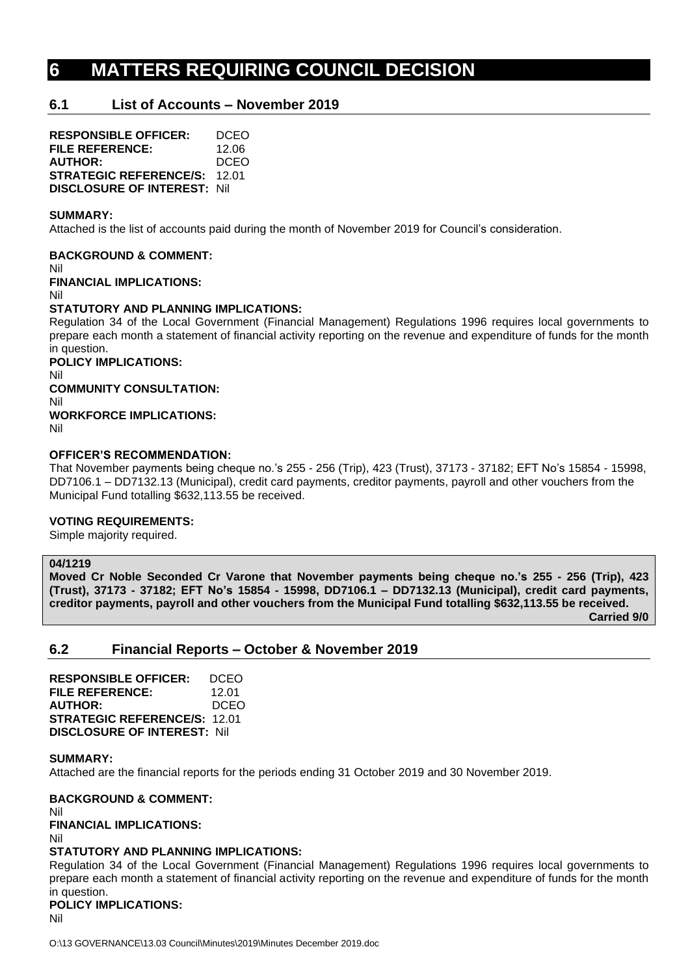# **6 MATTERS REQUIRING COUNCIL DECISION**

# **6.1 List of Accounts – November 2019**

**RESPONSIBLE OFFICER:** DCEO **FILE REFERENCE:** 12.06 **AUTHOR:** DCEO **STRATEGIC REFERENCE/S:** 12.01 **DISCLOSURE OF INTEREST:** Nil

#### **SUMMARY:**

Attached is the list of accounts paid during the month of November 2019 for Council's consideration.

**BACKGROUND & COMMENT:**

Nil

**FINANCIAL IMPLICATIONS:**

Nil

#### **STATUTORY AND PLANNING IMPLICATIONS:**

Regulation 34 of the Local Government (Financial Management) Regulations 1996 requires local governments to prepare each month a statement of financial activity reporting on the revenue and expenditure of funds for the month in question.

**POLICY IMPLICATIONS:**

Nil

**COMMUNITY CONSULTATION:**

Nil **WORKFORCE IMPLICATIONS:**

Nil

#### **OFFICER'S RECOMMENDATION:**

That November payments being cheque no.'s 255 - 256 (Trip), 423 (Trust), 37173 - 37182; EFT No's 15854 - 15998, DD7106.1 – DD7132.13 (Municipal), credit card payments, creditor payments, payroll and other vouchers from the Municipal Fund totalling \$632,113.55 be received.

### **VOTING REQUIREMENTS:**

Simple majority required.

#### **04/1219**

**Moved Cr Noble Seconded Cr Varone that November payments being cheque no.'s 255 - 256 (Trip), 423 (Trust), 37173 - 37182; EFT No's 15854 - 15998, DD7106.1 – DD7132.13 (Municipal), credit card payments, creditor payments, payroll and other vouchers from the Municipal Fund totalling \$632,113.55 be received. Carried 9/0**

# **6.2 Financial Reports – October & November 2019**

**RESPONSIBLE OFFICER:** DCEO **FILE REFERENCE:** 12.01 **AUTHOR:** DCEO **STRATEGIC REFERENCE/S:** 12.01 **DISCLOSURE OF INTEREST:** Nil

#### **SUMMARY:**

Attached are the financial reports for the periods ending 31 October 2019 and 30 November 2019.

**BACKGROUND & COMMENT:** Nil

### **FINANCIAL IMPLICATIONS:**

Nil

### **STATUTORY AND PLANNING IMPLICATIONS:**

Regulation 34 of the Local Government (Financial Management) Regulations 1996 requires local governments to prepare each month a statement of financial activity reporting on the revenue and expenditure of funds for the month in question.

## **POLICY IMPLICATIONS:**

Nil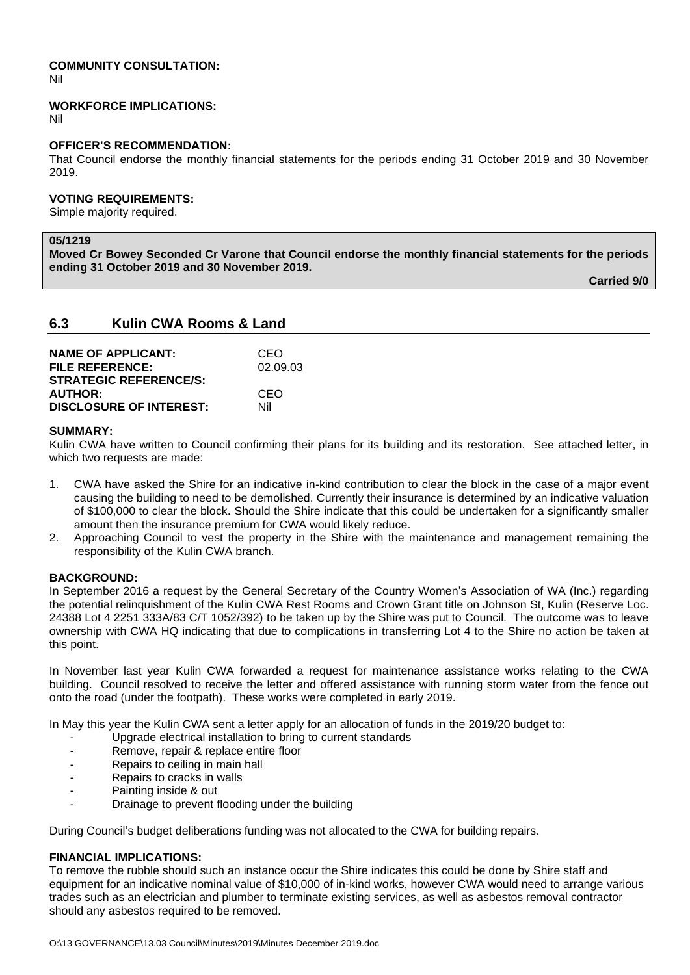#### **COMMUNITY CONSULTATION:** Nil

#### **WORKFORCE IMPLICATIONS:**

Nil

#### **OFFICER'S RECOMMENDATION:**

That Council endorse the monthly financial statements for the periods ending 31 October 2019 and 30 November 2019.

## **VOTING REQUIREMENTS:**

Simple majority required.

#### **05/1219**

**Moved Cr Bowey Seconded Cr Varone that Council endorse the monthly financial statements for the periods ending 31 October 2019 and 30 November 2019.**

**Carried 9/0**

## **6.3 Kulin CWA Rooms & Land**

| <b>NAME OF APPLICANT:</b>      | CEO      |
|--------------------------------|----------|
| <b>FILE REFERENCE:</b>         | 02.09.03 |
| <b>STRATEGIC REFERENCE/S:</b>  |          |
| <b>AUTHOR:</b>                 | CEO      |
| <b>DISCLOSURE OF INTEREST:</b> | Nil      |

#### **SUMMARY:**

Kulin CWA have written to Council confirming their plans for its building and its restoration. See attached letter, in which two requests are made:

- 1. CWA have asked the Shire for an indicative in-kind contribution to clear the block in the case of a major event causing the building to need to be demolished. Currently their insurance is determined by an indicative valuation of \$100,000 to clear the block. Should the Shire indicate that this could be undertaken for a significantly smaller amount then the insurance premium for CWA would likely reduce.
- 2. Approaching Council to vest the property in the Shire with the maintenance and management remaining the responsibility of the Kulin CWA branch.

### **BACKGROUND:**

In September 2016 a request by the General Secretary of the Country Women's Association of WA (Inc.) regarding the potential relinquishment of the Kulin CWA Rest Rooms and Crown Grant title on Johnson St, Kulin (Reserve Loc. 24388 Lot 4 2251 333A/83 C/T 1052/392) to be taken up by the Shire was put to Council. The outcome was to leave ownership with CWA HQ indicating that due to complications in transferring Lot 4 to the Shire no action be taken at this point.

In November last year Kulin CWA forwarded a request for maintenance assistance works relating to the CWA building. Council resolved to receive the letter and offered assistance with running storm water from the fence out onto the road (under the footpath). These works were completed in early 2019.

In May this year the Kulin CWA sent a letter apply for an allocation of funds in the 2019/20 budget to:

- Upgrade electrical installation to bring to current standards
- Remove, repair & replace entire floor
- Repairs to ceiling in main hall
- Repairs to cracks in walls
- Painting inside & out
- Drainage to prevent flooding under the building

During Council's budget deliberations funding was not allocated to the CWA for building repairs.

### **FINANCIAL IMPLICATIONS:**

To remove the rubble should such an instance occur the Shire indicates this could be done by Shire staff and equipment for an indicative nominal value of \$10,000 of in-kind works, however CWA would need to arrange various trades such as an electrician and plumber to terminate existing services, as well as asbestos removal contractor should any asbestos required to be removed.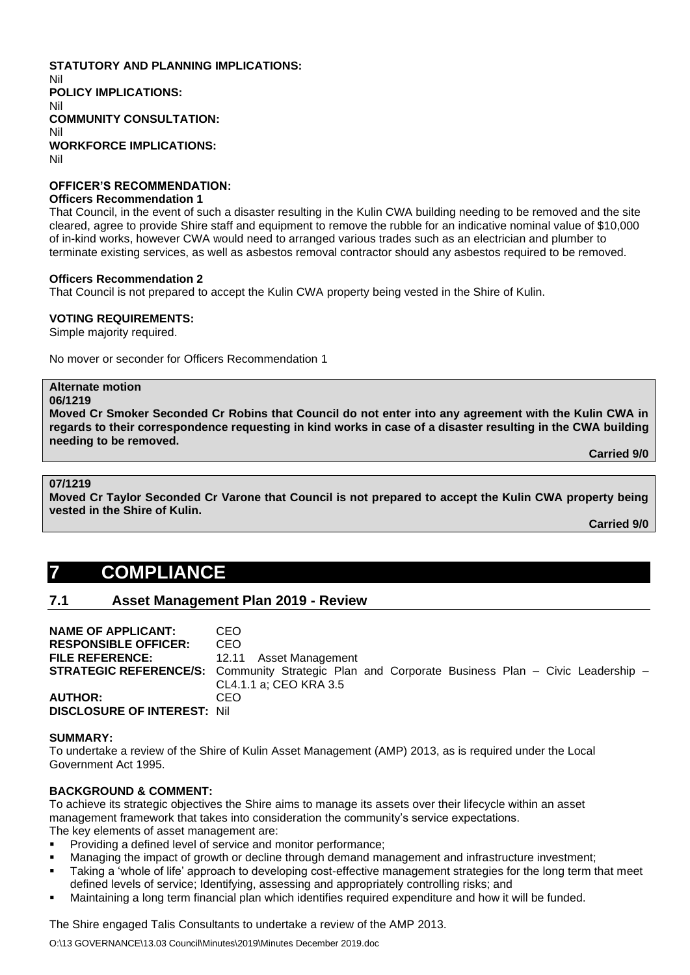#### **STATUTORY AND PLANNING IMPLICATIONS:**  Nil **POLICY IMPLICATIONS:** Nil **COMMUNITY CONSULTATION:** Nil **WORKFORCE IMPLICATIONS:** Nil

## **OFFICER'S RECOMMENDATION:**

#### **Officers Recommendation 1**

That Council, in the event of such a disaster resulting in the Kulin CWA building needing to be removed and the site cleared, agree to provide Shire staff and equipment to remove the rubble for an indicative nominal value of \$10,000 of in-kind works, however CWA would need to arranged various trades such as an electrician and plumber to terminate existing services, as well as asbestos removal contractor should any asbestos required to be removed.

#### **Officers Recommendation 2**

That Council is not prepared to accept the Kulin CWA property being vested in the Shire of Kulin.

#### **VOTING REQUIREMENTS:**

Simple majority required.

No mover or seconder for Officers Recommendation 1

# **Alternate motion**

**06/1219**

**Moved Cr Smoker Seconded Cr Robins that Council do not enter into any agreement with the Kulin CWA in regards to their correspondence requesting in kind works in case of a disaster resulting in the CWA building needing to be removed.**

**Carried 9/0**

#### **07/1219**

**Moved Cr Taylor Seconded Cr Varone that Council is not prepared to accept the Kulin CWA property being vested in the Shire of Kulin.**

**Carried 9/0**

# **7 COMPLIANCE**

# **7.1 Asset Management Plan 2019 - Review**

| <b>NAME OF APPLICANT:</b>          | CEO                                                                                                     |
|------------------------------------|---------------------------------------------------------------------------------------------------------|
| <b>RESPONSIBLE OFFICER:</b>        | CEO                                                                                                     |
| <b>FILE REFERENCE:</b>             | 12.11 Asset Management                                                                                  |
|                                    | <b>STRATEGIC REFERENCE/S:</b> Community Strategic Plan and Corporate Business Plan – Civic Leadership – |
|                                    | CL4.1.1 a: CEO KRA 3.5                                                                                  |
| <b>AUTHOR:</b>                     | CEO                                                                                                     |
| <b>DISCLOSURE OF INTEREST: Nil</b> |                                                                                                         |

#### **SUMMARY:**

To undertake a review of the Shire of Kulin Asset Management (AMP) 2013, as is required under the Local Government Act 1995.

### **BACKGROUND & COMMENT:**

To achieve its strategic objectives the Shire aims to manage its assets over their lifecycle within an asset management framework that takes into consideration the community's service expectations. The key elements of asset management are:

- Providing a defined level of service and monitor performance;
- Managing the impact of growth or decline through demand management and infrastructure investment:
- Taking a 'whole of life' approach to developing cost-effective management strategies for the long term that meet defined levels of service; Identifying, assessing and appropriately controlling risks; and
- Maintaining a long term financial plan which identifies required expenditure and how it will be funded.

The Shire engaged Talis Consultants to undertake a review of the AMP 2013.

O:\13 GOVERNANCE\13.03 Council\Minutes\2019\Minutes December 2019.doc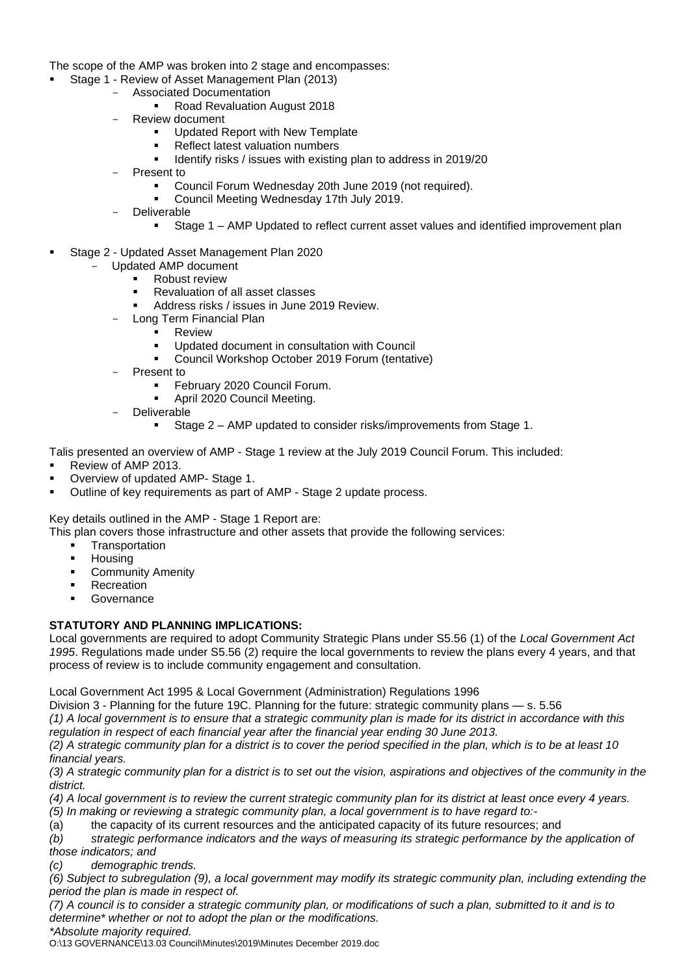The scope of the AMP was broken into 2 stage and encompasses:

- Stage 1 Review of Asset Management Plan (2013)
	- Associated Documentation
		- Road Revaluation August 2018
		- Review document
			- Updated Report with New Template
			- Reflect latest valuation numbers
			- Identify risks / issues with existing plan to address in 2019/20
		- Present to
			- Council Forum Wednesday 20th June 2019 (not required).
			- Council Meeting Wednesday 17th July 2019.
		- Deliverable
			- Stage 1 AMP Updated to reflect current asset values and identified improvement plan
- Stage 2 Updated Asset Management Plan 2020
	- Updated AMP document
		- **Robust review**
		- Revaluation of all asset classes
		- Address risks / issues in June 2019 Review.
		- Long Term Financial Plan
			- **Review**
			- Updated document in consultation with Council
			- Council Workshop October 2019 Forum (tentative)
	- Present to
		- February 2020 Council Forum.
		- April 2020 Council Meeting.
	- **Deliverable** 
		- Stage 2 AMP updated to consider risks/improvements from Stage 1.

Talis presented an overview of AMP - Stage 1 review at the July 2019 Council Forum. This included:

- Review of AMP 2013
- Overview of updated AMP- Stage 1.
- Outline of key requirements as part of AMP Stage 2 update process.

Key details outlined in the AMP - Stage 1 Report are:

This plan covers those infrastructure and other assets that provide the following services:

- **■** Transportation
- Housing
- **Community Amenity**
- **Recreation**
- **Governance**

### **STATUTORY AND PLANNING IMPLICATIONS:**

Local governments are required to adopt Community Strategic Plans under S5.56 (1) of the *Local Government Act 1995*. Regulations made under S5.56 (2) require the local governments to review the plans every 4 years, and that process of review is to include community engagement and consultation.

Local Government Act 1995 & Local Government (Administration) Regulations 1996

Division 3 - Planning for the future 19C. Planning for the future: strategic community plans — s. 5.56

*(1) A local government is to ensure that a strategic community plan is made for its district in accordance with this regulation in respect of each financial year after the financial year ending 30 June 2013.*

*(2) A strategic community plan for a district is to cover the period specified in the plan, which is to be at least 10 financial years.*

*(3) A strategic community plan for a district is to set out the vision, aspirations and objectives of the community in the district.*

*(4) A local government is to review the current strategic community plan for its district at least once every 4 years.*

*(5) In making or reviewing a strategic community plan, a local government is to have regard to:-*

(a) the capacity of its current resources and the anticipated capacity of its future resources; and

*(b) strategic performance indicators and the ways of measuring its strategic performance by the application of those indicators; and*

*(c) demographic trends.*

*(6) Subject to subregulation (9), a local government may modify its strategic community plan, including extending the period the plan is made in respect of.*

*(7) A council is to consider a strategic community plan, or modifications of such a plan, submitted to it and is to determine\* whether or not to adopt the plan or the modifications.*

*\*Absolute majority required.*

O:\13 GOVERNANCE\13.03 Council\Minutes\2019\Minutes December 2019.doc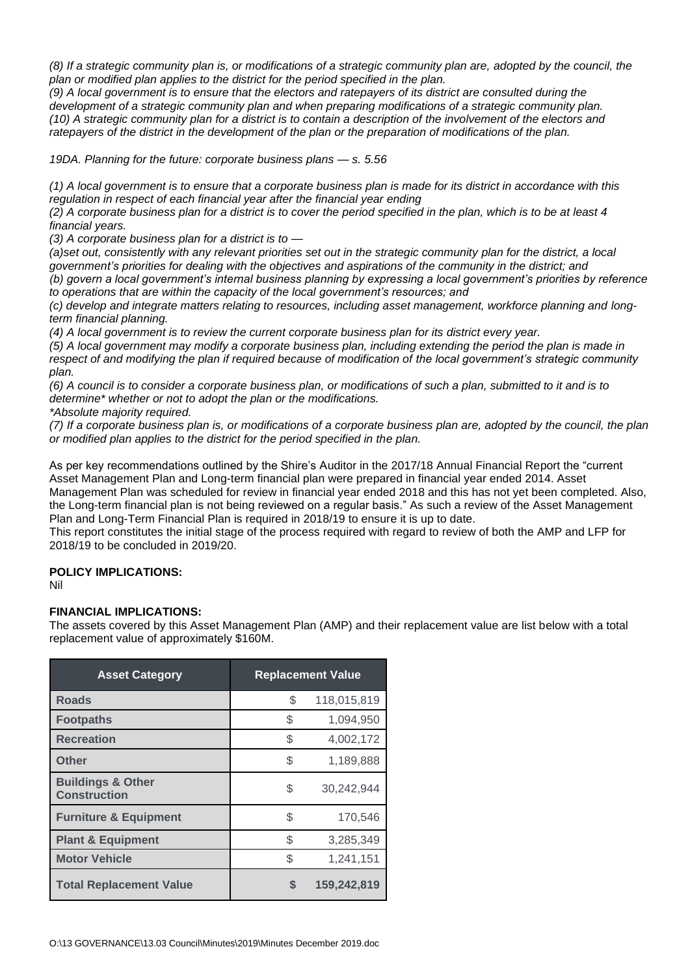*(8) If a strategic community plan is, or modifications of a strategic community plan are, adopted by the council, the plan or modified plan applies to the district for the period specified in the plan.*

*(9) A local government is to ensure that the electors and ratepayers of its district are consulted during the development of a strategic community plan and when preparing modifications of a strategic community plan. (10) A strategic community plan for a district is to contain a description of the involvement of the electors and ratepayers of the district in the development of the plan or the preparation of modifications of the plan.*

*19DA. Planning for the future: corporate business plans — s. 5.56*

*(1) A local government is to ensure that a corporate business plan is made for its district in accordance with this regulation in respect of each financial year after the financial year ending*

*(2) A corporate business plan for a district is to cover the period specified in the plan, which is to be at least 4 financial years.*

*(3) A corporate business plan for a district is to —*

*(a)set out, consistently with any relevant priorities set out in the strategic community plan for the district, a local government's priorities for dealing with the objectives and aspirations of the community in the district; and*

*(b) govern a local government's internal business planning by expressing a local government's priorities by reference to operations that are within the capacity of the local government's resources; and*

*(c) develop and integrate matters relating to resources, including asset management, workforce planning and longterm financial planning.*

*(4) A local government is to review the current corporate business plan for its district every year.*

*(5) A local government may modify a corporate business plan, including extending the period the plan is made in*  respect of and modifying the plan if required because of modification of the local government's strategic community *plan.*

*(6) A council is to consider a corporate business plan, or modifications of such a plan, submitted to it and is to determine\* whether or not to adopt the plan or the modifications.*

*\*Absolute majority required.*

*(7) If a corporate business plan is, or modifications of a corporate business plan are, adopted by the council, the plan or modified plan applies to the district for the period specified in the plan.*

As per key recommendations outlined by the Shire's Auditor in the 2017/18 Annual Financial Report the "current Asset Management Plan and Long-term financial plan were prepared in financial year ended 2014. Asset Management Plan was scheduled for review in financial year ended 2018 and this has not yet been completed. Also, the Long-term financial plan is not being reviewed on a regular basis." As such a review of the Asset Management Plan and Long-Term Financial Plan is required in 2018/19 to ensure it is up to date.

This report constitutes the initial stage of the process required with regard to review of both the AMP and LFP for 2018/19 to be concluded in 2019/20.

### **POLICY IMPLICATIONS:**

Nil

### **FINANCIAL IMPLICATIONS:**

The assets covered by this Asset Management Plan (AMP) and their replacement value are list below with a total replacement value of approximately \$160M.

| <b>Asset Category</b>                               | <b>Replacement Value</b> |             |  |
|-----------------------------------------------------|--------------------------|-------------|--|
| Roads                                               | \$                       | 118,015,819 |  |
| <b>Footpaths</b>                                    | \$                       | 1,094,950   |  |
| <b>Recreation</b>                                   | \$                       | 4,002,172   |  |
| Other                                               | \$                       | 1,189,888   |  |
| <b>Buildings &amp; Other</b><br><b>Construction</b> | \$                       | 30,242,944  |  |
| <b>Furniture &amp; Equipment</b>                    | \$                       | 170,546     |  |
| <b>Plant &amp; Equipment</b>                        | \$                       | 3,285,349   |  |
| <b>Motor Vehicle</b>                                | \$                       | 1,241,151   |  |
| <b>Total Replacement Value</b>                      | S                        | 159,242,819 |  |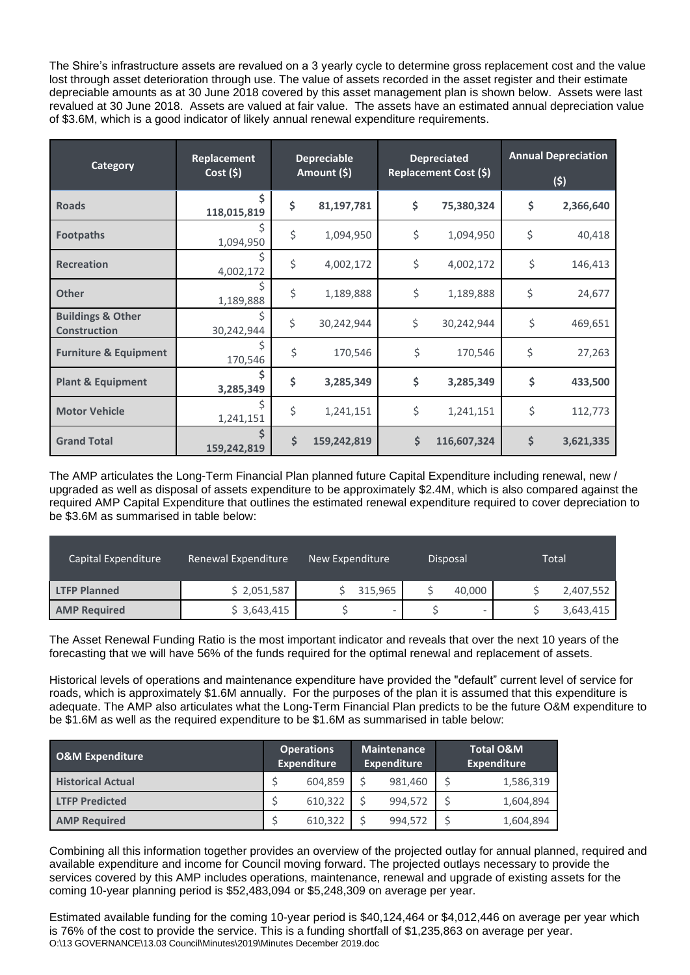The Shire's infrastructure assets are revalued on a 3 yearly cycle to determine gross replacement cost and the value lost through asset deterioration through use. The value of assets recorded in the asset register and their estimate depreciable amounts as at 30 June 2018 covered by this asset management plan is shown below. Assets were last revalued at 30 June 2018. Assets are valued at fair value. The assets have an estimated annual depreciation value of \$3.6M, which is a good indicator of likely annual renewal expenditure requirements.

| Category                                            | Replacement<br>Cost(5) | <b>Depreciable</b><br>Amount (\$) |             | <b>Depreciated</b><br>Replacement Cost (\$) |             | <b>Annual Depreciation</b><br>(5) |           |
|-----------------------------------------------------|------------------------|-----------------------------------|-------------|---------------------------------------------|-------------|-----------------------------------|-----------|
| <b>Roads</b>                                        | Ś.<br>118,015,819      | \$                                | 81,197,781  | \$                                          | 75,380,324  | \$                                | 2,366,640 |
| <b>Footpaths</b>                                    | 1,094,950              | \$                                | 1,094,950   | \$                                          | 1,094,950   | \$                                | 40,418    |
| <b>Recreation</b>                                   | 4,002,172              | \$                                | 4,002,172   | \$                                          | 4,002,172   | \$                                | 146,413   |
| <b>Other</b>                                        | 1,189,888              | \$                                | 1,189,888   | \$                                          | 1,189,888   | \$                                | 24,677    |
| <b>Buildings &amp; Other</b><br><b>Construction</b> | 30,242,944             | \$                                | 30,242,944  | \$                                          | 30,242,944  | \$                                | 469,651   |
| <b>Furniture &amp; Equipment</b>                    | 170,546                | \$                                | 170,546     | \$                                          | 170,546     | \$                                | 27,263    |
| <b>Plant &amp; Equipment</b>                        | 3,285,349              | \$                                | 3,285,349   | \$                                          | 3,285,349   | \$                                | 433,500   |
| <b>Motor Vehicle</b>                                | 1,241,151              | \$                                | 1,241,151   | \$                                          | 1,241,151   | \$                                | 112,773   |
| <b>Grand Total</b>                                  | 159,242,819            | \$                                | 159,242,819 | \$                                          | 116,607,324 | \$                                | 3,621,335 |

The AMP articulates the Long-Term Financial Plan planned future Capital Expenditure including renewal, new / upgraded as well as disposal of assets expenditure to be approximately \$2.4M, which is also compared against the required AMP Capital Expenditure that outlines the estimated renewal expenditure required to cover depreciation to be \$3.6M as summarised in table below:

| Capital Expenditure | Renewal Expenditure | New Expenditure          | Disposal | Total     |  |
|---------------------|---------------------|--------------------------|----------|-----------|--|
| <b>LTFP Planned</b> | \$2,051,587         | 315,965                  | 40,000   | 2,407,552 |  |
| <b>AMP Required</b> | \$3,643,415         | $\overline{\phantom{a}}$ | -        | 3,643,415 |  |

The Asset Renewal Funding Ratio is the most important indicator and reveals that over the next 10 years of the forecasting that we will have 56% of the funds required for the optimal renewal and replacement of assets.

Historical levels of operations and maintenance expenditure have provided the "default" current level of service for roads, which is approximately \$1.6M annually. For the purposes of the plan it is assumed that this expenditure is adequate. The AMP also articulates what the Long-Term Financial Plan predicts to be the future O&M expenditure to be \$1.6M as well as the required expenditure to be \$1.6M as summarised in table below:

| <b>O&amp;M Expenditure</b> | <b>Operations</b><br><b>Expenditure</b> |         | <b>Maintenance</b><br><b>Expenditure</b> |         | <b>Total O&amp;M</b><br><b>Expenditure</b> |           |
|----------------------------|-----------------------------------------|---------|------------------------------------------|---------|--------------------------------------------|-----------|
| <b>Historical Actual</b>   |                                         | 604,859 |                                          | 981,460 |                                            | 1,586,319 |
| <b>LTFP Predicted</b>      |                                         | 610,322 |                                          | 994,572 |                                            | 1,604,894 |
| <b>AMP Required</b>        |                                         | 610,322 |                                          | 994,572 |                                            | 1,604,894 |

Combining all this information together provides an overview of the projected outlay for annual planned, required and available expenditure and income for Council moving forward. The projected outlays necessary to provide the services covered by this AMP includes operations, maintenance, renewal and upgrade of existing assets for the coming 10-year planning period is \$52,483,094 or \$5,248,309 on average per year.

O:\13 GOVERNANCE\13.03 Council\Minutes\2019\Minutes December 2019.doc Estimated available funding for the coming 10-year period is \$40,124,464 or \$4,012,446 on average per year which is 76% of the cost to provide the service. This is a funding shortfall of \$1,235,863 on average per year.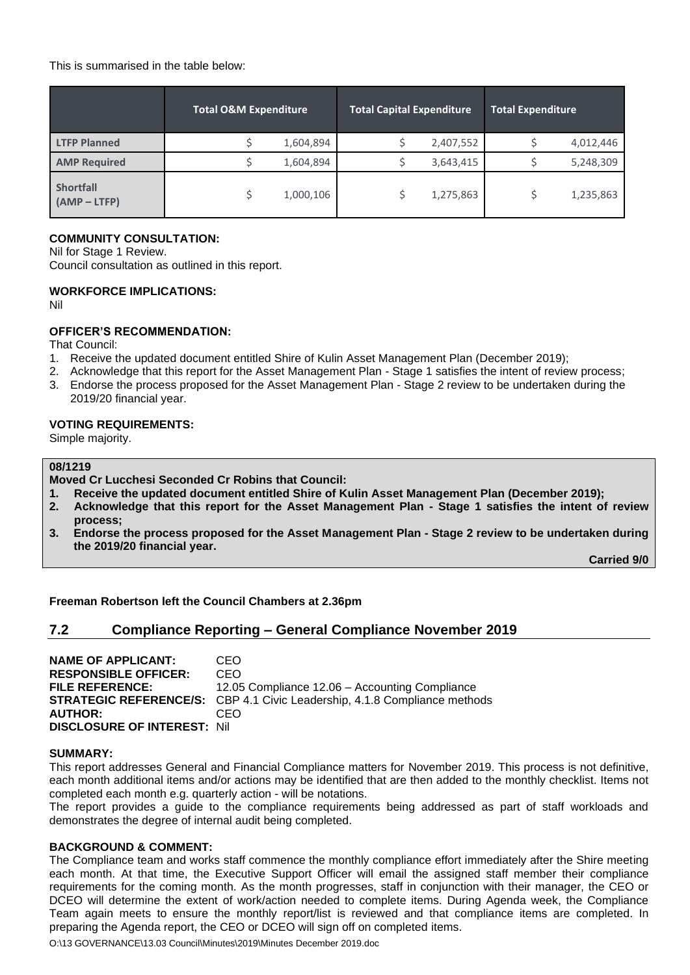This is summarised in the table below:

|                                    | <b>Total O&amp;M Expenditure</b> |           | <b>Total Capital Expenditure</b> |           | <b>Total Expenditure</b> |           |  |
|------------------------------------|----------------------------------|-----------|----------------------------------|-----------|--------------------------|-----------|--|
| <b>LTFP Planned</b>                |                                  | 1,604,894 |                                  | 2,407,552 |                          | 4,012,446 |  |
| <b>AMP Required</b>                |                                  | 1,604,894 |                                  | 3,643,415 |                          | 5,248,309 |  |
| <b>Shortfall</b><br>$(AMP - LTFP)$ |                                  | 1,000,106 |                                  | 1,275,863 |                          | 1,235,863 |  |

#### **COMMUNITY CONSULTATION:**

Nil for Stage 1 Review. Council consultation as outlined in this report.

#### **WORKFORCE IMPLICATIONS:**

Nil

#### **OFFICER'S RECOMMENDATION:**

That Council:

- 1. Receive the updated document entitled Shire of Kulin Asset Management Plan (December 2019);
- 2. Acknowledge that this report for the Asset Management Plan Stage 1 satisfies the intent of review process;
- 3. Endorse the process proposed for the Asset Management Plan Stage 2 review to be undertaken during the 2019/20 financial year.

#### **VOTING REQUIREMENTS:**

Simple majority.

#### **08/1219**

**Moved Cr Lucchesi Seconded Cr Robins that Council:**

- **1. Receive the updated document entitled Shire of Kulin Asset Management Plan (December 2019);**
- **2. Acknowledge that this report for the Asset Management Plan - Stage 1 satisfies the intent of review process;**
- **3. Endorse the process proposed for the Asset Management Plan - Stage 2 review to be undertaken during the 2019/20 financial year.**

**Carried 9/0**

**Freeman Robertson left the Council Chambers at 2.36pm**

# **7.2 Compliance Reporting – General Compliance November 2019**

**NAME OF APPLICANT:** CEO **RESPONSIBLE OFFICER:** CEO **FILE REFERENCE:** 12.05 Compliance 12.06 – Accounting Compliance **STRATEGIC REFERENCE/S:** CBP 4.1 Civic Leadership, 4.1.8 Compliance methods **AUTHOR:** CEO **DISCLOSURE OF INTEREST:** Nil

#### **SUMMARY:**

This report addresses General and Financial Compliance matters for November 2019. This process is not definitive, each month additional items and/or actions may be identified that are then added to the monthly checklist. Items not completed each month e.g. quarterly action - will be notations.

The report provides a guide to the compliance requirements being addressed as part of staff workloads and demonstrates the degree of internal audit being completed.

#### **BACKGROUND & COMMENT:**

The Compliance team and works staff commence the monthly compliance effort immediately after the Shire meeting each month. At that time, the Executive Support Officer will email the assigned staff member their compliance requirements for the coming month. As the month progresses, staff in conjunction with their manager, the CEO or DCEO will determine the extent of work/action needed to complete items. During Agenda week, the Compliance Team again meets to ensure the monthly report/list is reviewed and that compliance items are completed. In preparing the Agenda report, the CEO or DCEO will sign off on completed items.

O:\13 GOVERNANCE\13.03 Council\Minutes\2019\Minutes December 2019.doc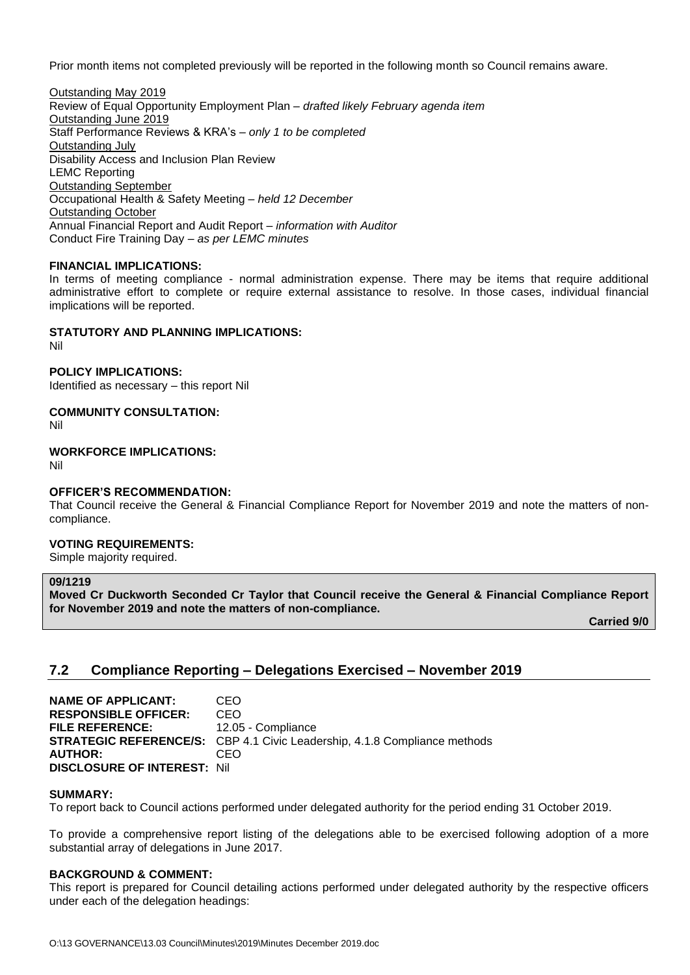Prior month items not completed previously will be reported in the following month so Council remains aware.

Outstanding May 2019 Review of Equal Opportunity Employment Plan – *drafted likely February agenda item* Outstanding June 2019 Staff Performance Reviews & KRA's – *only 1 to be completed* Outstanding July Disability Access and Inclusion Plan Review LEMC Reporting Outstanding September Occupational Health & Safety Meeting – *held 12 December*  Outstanding October Annual Financial Report and Audit Report – *information with Auditor* Conduct Fire Training Day *– as per LEMC minutes*

#### **FINANCIAL IMPLICATIONS:**

In terms of meeting compliance - normal administration expense. There may be items that require additional administrative effort to complete or require external assistance to resolve. In those cases, individual financial implications will be reported.

#### **STATUTORY AND PLANNING IMPLICATIONS:**

Nil

**POLICY IMPLICATIONS:**

Identified as necessary – this report Nil

**COMMUNITY CONSULTATION:**

Nil

**WORKFORCE IMPLICATIONS:**

Nil

#### **OFFICER'S RECOMMENDATION:**

That Council receive the General & Financial Compliance Report for November 2019 and note the matters of noncompliance.

### **VOTING REQUIREMENTS:**

Simple majority required.

#### **09/1219**

**Moved Cr Duckworth Seconded Cr Taylor that Council receive the General & Financial Compliance Report for November 2019 and note the matters of non-compliance.**

**Carried 9/0**

# **7.2 Compliance Reporting – Delegations Exercised – November 2019**

**NAME OF APPLICANT:** CEO **RESPONSIBLE OFFICER:** CEO FILE REFERENCE: 12.05 - Compliance **STRATEGIC REFERENCE/S:** CBP 4.1 Civic Leadership, 4.1.8 Compliance methods **AUTHOR:** CEO **DISCLOSURE OF INTEREST:** Nil

#### **SUMMARY:**

To report back to Council actions performed under delegated authority for the period ending 31 October 2019.

To provide a comprehensive report listing of the delegations able to be exercised following adoption of a more substantial array of delegations in June 2017.

#### **BACKGROUND & COMMENT:**

This report is prepared for Council detailing actions performed under delegated authority by the respective officers under each of the delegation headings: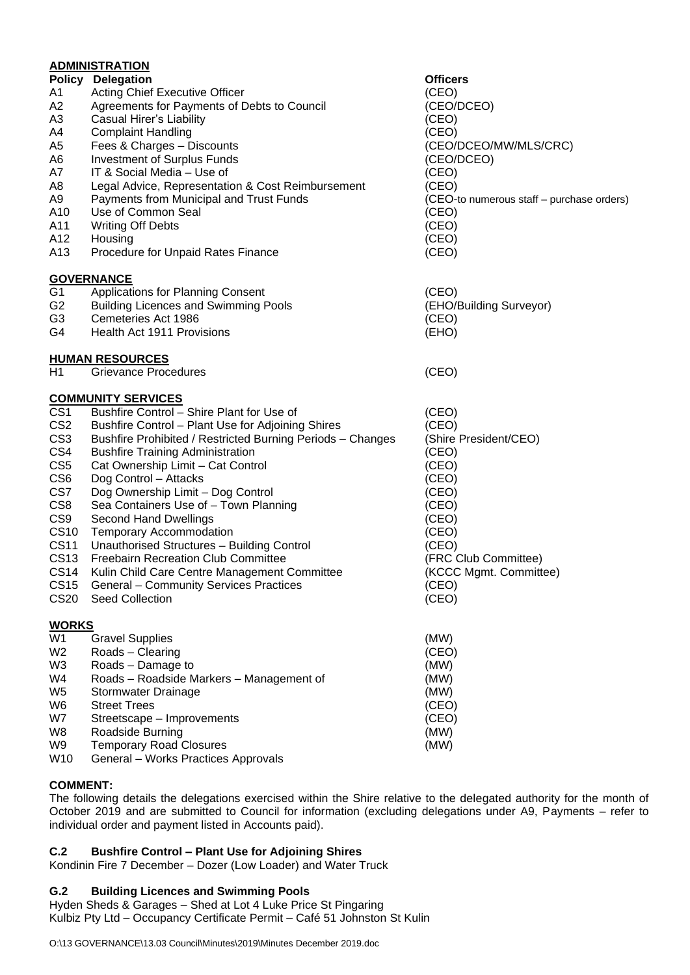|                  | <b>ADMINISTRATION</b>                                      |                                           |
|------------------|------------------------------------------------------------|-------------------------------------------|
|                  | <b>Policy Delegation</b>                                   | <b>Officers</b>                           |
| A1               | Acting Chief Executive Officer                             | (CEO)                                     |
| A2               | Agreements for Payments of Debts to Council                | (CEO/DCEO)                                |
| A3               | <b>Casual Hirer's Liability</b>                            | (CEO)                                     |
| A4               | <b>Complaint Handling</b>                                  | (CEO)                                     |
| A5               | Fees & Charges - Discounts                                 | (CEO/DCEO/MW/MLS/CRC)                     |
| A6               | <b>Investment of Surplus Funds</b>                         | (CEO/DCEO)                                |
| А7               | IT & Social Media - Use of                                 | (CEO)                                     |
| A8               | Legal Advice, Representation & Cost Reimbursement          | (CEO)                                     |
| A9               | Payments from Municipal and Trust Funds                    | (CEO-to numerous staff - purchase orders) |
| A10              | Use of Common Seal                                         | (CEO)                                     |
| A11              | <b>Writing Off Debts</b>                                   | (CEO)                                     |
| A12              | Housing                                                    | (CEO)                                     |
| A13              | Procedure for Unpaid Rates Finance                         | (CEO)                                     |
|                  | <b>GOVERNANCE</b>                                          |                                           |
| G <sub>1</sub>   | Applications for Planning Consent                          | (CEO)                                     |
| G2               | <b>Building Licences and Swimming Pools</b>                | (EHO/Building Surveyor)                   |
| G3               | Cemeteries Act 1986                                        | (CEO)                                     |
| G4               | Health Act 1911 Provisions                                 | (EHO)                                     |
|                  | <b>HUMAN RESOURCES</b>                                     |                                           |
| H1               | <b>Grievance Procedures</b>                                | (CEO)                                     |
|                  | <b>COMMUNITY SERVICES</b>                                  |                                           |
| CS <sub>1</sub>  | Bushfire Control - Shire Plant for Use of                  | (CEO)                                     |
| CS <sub>2</sub>  | <b>Bushfire Control - Plant Use for Adjoining Shires</b>   | (CEO)                                     |
| CS <sub>3</sub>  | Bushfire Prohibited / Restricted Burning Periods - Changes | (Shire President/CEO)                     |
| CS4              | <b>Bushfire Training Administration</b>                    | (CEO)                                     |
| CS <sub>5</sub>  | Cat Ownership Limit - Cat Control                          | (CEO)                                     |
| CS <sub>6</sub>  | Dog Control - Attacks                                      | (CEO)                                     |
| CS7              | Dog Ownership Limit - Dog Control                          | (CEO)                                     |
| CS <sub>8</sub>  | Sea Containers Use of - Town Planning                      | (CEO)                                     |
| CS <sub>9</sub>  | <b>Second Hand Dwellings</b>                               | (CEO)                                     |
| <b>CS10</b>      | <b>Temporary Accommodation</b>                             | (CEO)                                     |
| <b>CS11</b>      | Unauthorised Structures - Building Control                 | (CEO)                                     |
| <b>CS13</b>      | Freebairn Recreation Club Committee                        | (FRC Club Committee)                      |
| CS <sub>14</sub> | Kulin Child Care Centre Management Committee               | (KCCC Mgmt. Committee)                    |
| <b>CS15</b>      | <b>General - Community Services Practices</b>              | (CEO)                                     |
| <b>CS20</b>      | Seed Collection                                            | (CEO)                                     |
| <b>WORKS</b>     |                                                            |                                           |
| W1               | <b>Gravel Supplies</b>                                     | (MW)                                      |
| W <sub>2</sub>   | Roads - Clearing                                           | (CEO)                                     |
| W3               | Roads - Damage to                                          | (MW)                                      |
| W4               | Roads - Roadside Markers - Management of                   | (MW)                                      |
| W <sub>5</sub>   | Stormwater Drainage                                        | (MW)                                      |
| W6               | <b>Street Trees</b>                                        | (CEO)                                     |
| W7               | Streetscape - Improvements                                 | (CEO)                                     |
| W8               | Roadside Burning                                           | (MW)                                      |
| W9               | <b>Temporary Road Closures</b>                             | (MW)                                      |
| W10              | General - Works Practices Approvals                        |                                           |

### **COMMENT:**

The following details the delegations exercised within the Shire relative to the delegated authority for the month of October 2019 and are submitted to Council for information (excluding delegations under A9, Payments – refer to individual order and payment listed in Accounts paid).

## **C.2 Bushfire Control – Plant Use for Adjoining Shires**

Kondinin Fire 7 December – Dozer (Low Loader) and Water Truck

### **G.2 Building Licences and Swimming Pools**

Hyden Sheds & Garages – Shed at Lot 4 Luke Price St Pingaring Kulbiz Pty Ltd – Occupancy Certificate Permit – Café 51 Johnston St Kulin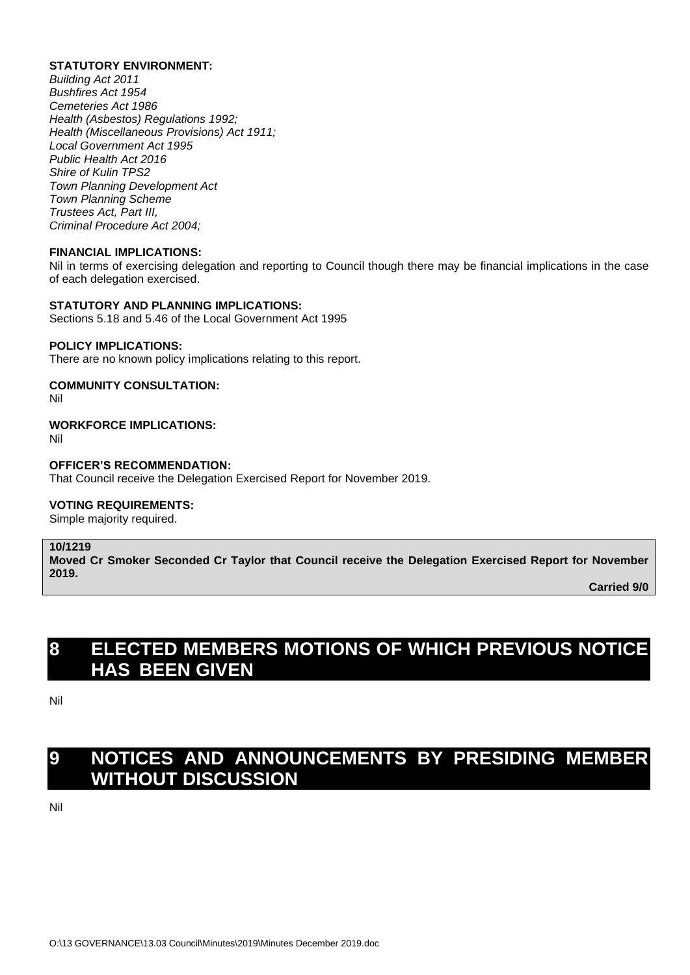#### **STATUTORY ENVIRONMENT:**

*Building Act 2011 Bushfires Act 1954 Cemeteries Act 1986 Health (Asbestos) Regulations 1992; Health (Miscellaneous Provisions) Act 1911; Local Government Act 1995 Public Health Act 2016 Shire of Kulin TPS2 Town Planning Development Act Town Planning Scheme Trustees Act, Part III, Criminal Procedure Act 2004;*

#### **FINANCIAL IMPLICATIONS:**

Nil in terms of exercising delegation and reporting to Council though there may be financial implications in the case of each delegation exercised.

#### **STATUTORY AND PLANNING IMPLICATIONS:**

Sections 5.18 and 5.46 of the Local Government Act 1995

#### **POLICY IMPLICATIONS:**

There are no known policy implications relating to this report.

#### **COMMUNITY CONSULTATION:**

Nil

### **WORKFORCE IMPLICATIONS:**

Nil

### **OFFICER'S RECOMMENDATION:**

That Council receive the Delegation Exercised Report for November 2019.

#### **VOTING REQUIREMENTS:**

Simple majority required.

#### **10/1219**

**Moved Cr Smoker Seconded Cr Taylor that Council receive the Delegation Exercised Report for November 2019.**

**Carried 9/0**

# **8 ELECTED MEMBERS MOTIONS OF WHICH PREVIOUS NOTICE HAS BEEN GIVEN**

Nil

# **9 NOTICES AND ANNOUNCEMENTS BY PRESIDING MEMBER WITHOUT DISCUSSION**

Nil